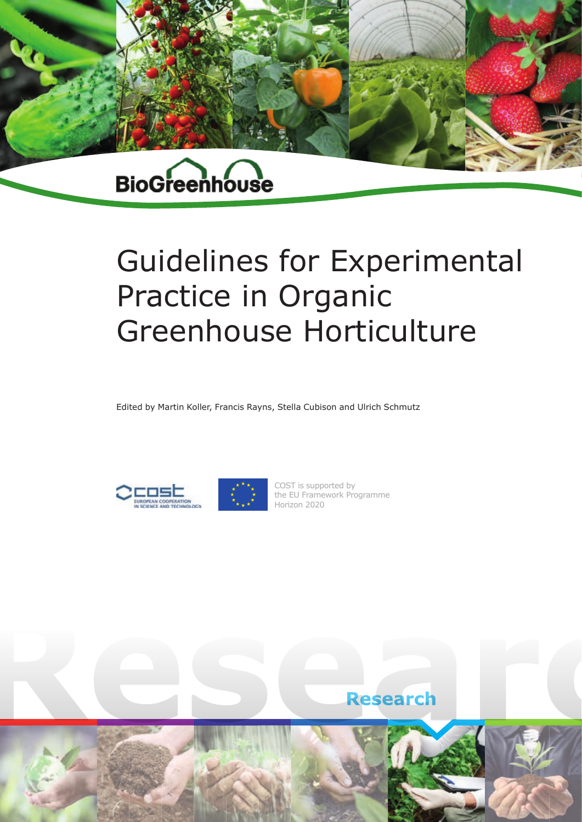# **BioGreenhouse**

# Guidelines for Experimental Practice in Organic Greenhouse Horticulture

Edited by Martin Koller, Francis Rayns, Stella Cubison and Ulrich Schmutz





COST is supported by the EU Framework Programme Horizon 2020

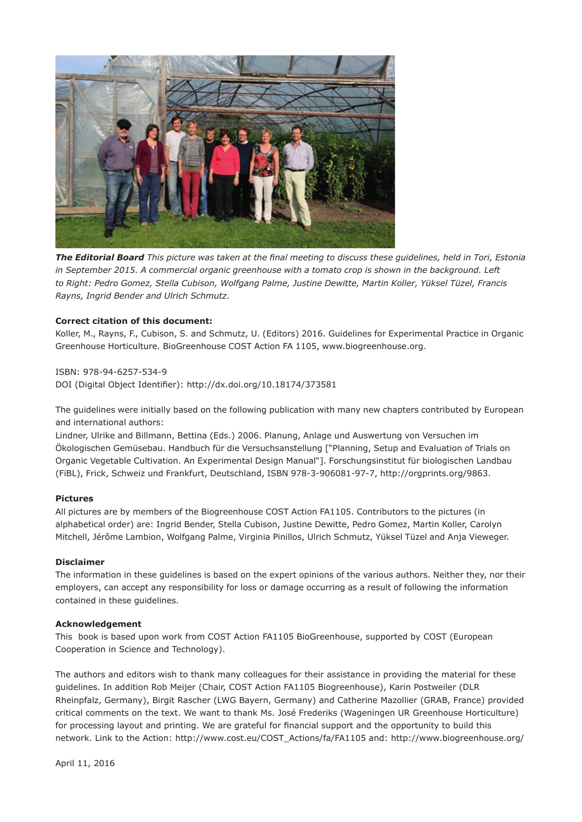

*The Editorial Board This picture was taken at the final meeting to discuss these guidelines, held in Tori, Estonia*  in September 2015. A commercial organic greenhouse with a tomato crop is shown in the background. Left *to Right: Pedro Gomez, Stella Cubison, Wolfgang Palme, Justine Dewitte, Martin Koller, Yüksel Tüzel, Francis Rayns, Ingrid Bender and Ulrich Schmutz.*

### **Correct citation of this document:**

Koller, M., Rayns, F., Cubison, S. and Schmutz, U. (Editors) 2016. Guidelines for Experimental Practice in Organic Greenhouse Horticulture. BioGreenhouse COST Action FA 1105, www.biogreenhouse.org.

ISBN: 978-94-6257-534-9 DOI (Digital Object Identifier): http://dx.doi.org/10.18174/373581

The guidelines were initially based on the following publication with many new chapters contributed by European and international authors:

Lindner, Ulrike and Billmann, Bettina (Eds.) 2006. Planung, Anlage und Auswertung von Versuchen im Ökologischen Gemüsebau. Handbuch für die Versuchsanstellung ["Planning, Setup and Evaluation of Trials on Organic Vegetable Cultivation. An Experimental Design Manual"]. Forschungsinstitut für biologischen Landbau (FiBL), Frick, Schweiz und Frankfurt, Deutschland, ISBN 978-3-906081-97-7, http://orgprints.org/9863.

#### **Pictures**

All pictures are by members of the Biogreenhouse COST Action FA1105. Contributors to the pictures (in alphabetical order) are: Ingrid Bender, Stella Cubison, Justine Dewitte, Pedro Gomez, Martin Koller, Carolyn Mitchell, Jérôme Lambion, Wolfgang Palme, Virginia Pinillos, Ulrich Schmutz, Yüksel Tüzel and Anja Vieweger.

#### **Disclaimer**

The information in these guidelines is based on the expert opinions of the various authors. Neither they, nor their employers, can accept any responsibility for loss or damage occurring as a result of following the information contained in these guidelines.

#### **Acknowledgement**

This book is based upon work from COST Action FA1105 BioGreenhouse, supported by COST (European Cooperation in Science and Technology).

The authors and editors wish to thank many colleagues for their assistance in providing the material for these guidelines. In addition Rob Meijer (Chair, COST Action FA1105 Biogreenhouse), Karin Postweiler (DLR Rheinpfalz, Germany), Birgit Rascher (LWG Bayern, Germany) and Catherine Mazollier (GRAB, France) provided critical comments on the text. We want to thank Ms. José Frederiks (Wageningen UR Greenhouse Horticulture) for processing layout and printing. We are grateful for financial support and the opportunity to build this network. Link to the Action: http://www.cost.eu/COST\_Actions/fa/FA1105 and: http://www.biogreenhouse.org/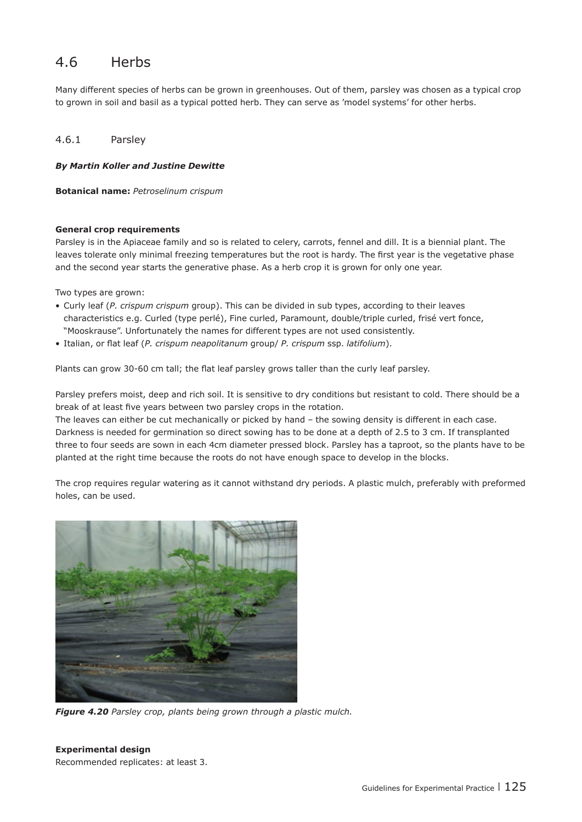# 4.6 Herbs

Many different species of herbs can be grown in greenhouses. Out of them, parsley was chosen as a typical crop to grown in soil and basil as a typical potted herb. They can serve as 'model systems' for other herbs.

# 4.6.1 Parsley

## *By Martin Koller and Justine Dewitte*

**Botanical name:** *Petroselinum crispum*

### **General crop requirements**

Parsley is in the Apiaceae family and so is related to celery, carrots, fennel and dill. It is a biennial plant. The leaves tolerate only minimal freezing temperatures but the root is hardy. The first year is the vegetative phase and the second year starts the generative phase. As a herb crop it is grown for only one year.

Two types are grown:

- • Curly leaf (*P. crispum crispum* group). This can be divided in sub types, according to their leaves characteristics e.g. Curled (type perlé), Fine curled, Paramount, double/triple curled, frisé vert fonce, "Mooskrause". Unfortunately the names for different types are not used consistently.
- • Italian, or flat leaf (*P. crispum neapolitanum* group/ *P. crispum* ssp. *latifolium*).

Plants can grow 30-60 cm tall; the flat leaf parsley grows taller than the curly leaf parsley.

Parsley prefers moist, deep and rich soil. It is sensitive to dry conditions but resistant to cold. There should be a break of at least five years between two parsley crops in the rotation.

The leaves can either be cut mechanically or picked by hand – the sowing density is different in each case. Darkness is needed for germination so direct sowing has to be done at a depth of 2.5 to 3 cm. If transplanted three to four seeds are sown in each 4cm diameter pressed block. Parsley has a taproot, so the plants have to be planted at the right time because the roots do not have enough space to develop in the blocks.

The crop requires regular watering as it cannot withstand dry periods. A plastic mulch, preferably with preformed holes, can be used.



*Figure 4.20 Parsley crop, plants being grown through a plastic mulch.*

**Experimental design**  Recommended replicates: at least 3.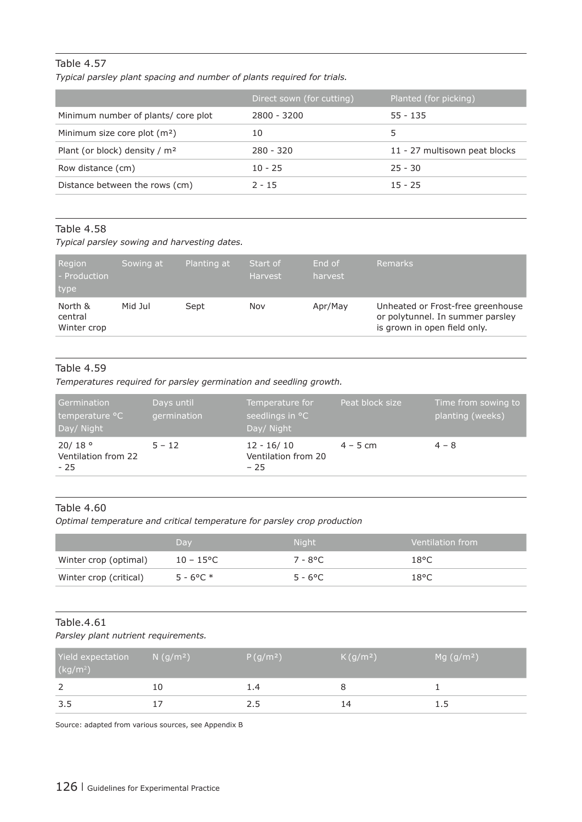# Table 4.57

*Typical parsley plant spacing and number of plants required for trials.*

|                                           | Direct sown (for cutting) | Planted (for picking)         |
|-------------------------------------------|---------------------------|-------------------------------|
| Minimum number of plants/ core plot       | 2800 - 3200               | $55 - 135$                    |
| Minimum size core plot $(m2)$             | 10                        | 5                             |
| Plant (or block) density / m <sup>2</sup> | $280 - 320$               | 11 - 27 multisown peat blocks |
| Row distance (cm)                         | $10 - 25$                 | $25 - 30$                     |
| Distance between the rows (cm)            | $2 - 15$                  | $15 - 25$                     |

# Table 4.58

# *Typical parsley sowing and harvesting dates.*

| Region<br>- Production<br>type    | Sowing at | Planting at | Start of<br>Harvest | End of<br>harvest | <b>Remarks</b>                                                                                        |
|-----------------------------------|-----------|-------------|---------------------|-------------------|-------------------------------------------------------------------------------------------------------|
| North &<br>central<br>Winter crop | Mid Jul   | Sept        | Nov                 | Apr/May           | Unheated or Frost-free greenhouse<br>or polytunnel. In summer parsley<br>is grown in open field only. |

# Table 4.59

*Temperatures required for parsley germination and seedling growth.* 

| Germination<br>temperature °C<br>Day/ Night | Days until<br>germination | Temperature for<br>seedlings in °C<br>Day/ Night | Peat block size | Time from sowing to<br>planting (weeks) |
|---------------------------------------------|---------------------------|--------------------------------------------------|-----------------|-----------------------------------------|
| 20/18°<br>Ventilation from 22<br>- 25       | $5 - 12$                  | $12 - 16/10$<br>Ventilation from 20<br>$-25$     | $4 - 5$ cm      | $4 - 8$                                 |

# Table 4.60

*Optimal temperature and critical temperature for parsley crop production*

|                        | Dav                 | <b>Night</b>      | Ventilation from : |
|------------------------|---------------------|-------------------|--------------------|
| Winter crop (optimal)  | $10 - 15^{\circ}$ C | 7 - 8°C.          | 18°C               |
| Winter crop (critical) | $5 - 6^{\circ}$ C * | $5 - 6^{\circ}$ C | $18^{\circ}$ C     |

# Table.4.61

*Parsley plant nutrient requirements.* 

| Yield expectation<br>(kg/m <sup>2</sup> ) | $N$ (g/m <sup>2</sup> ) | P(g/m <sup>2</sup> ) | K(g/m <sup>2</sup> ) | Mg (g/m <sup>2</sup> ) |
|-------------------------------------------|-------------------------|----------------------|----------------------|------------------------|
|                                           | 10                      | 1.4                  |                      |                        |
| 3.5                                       |                         | 2.5                  | 14                   | 1.5                    |

Source: adapted from various sources, see Appendix B